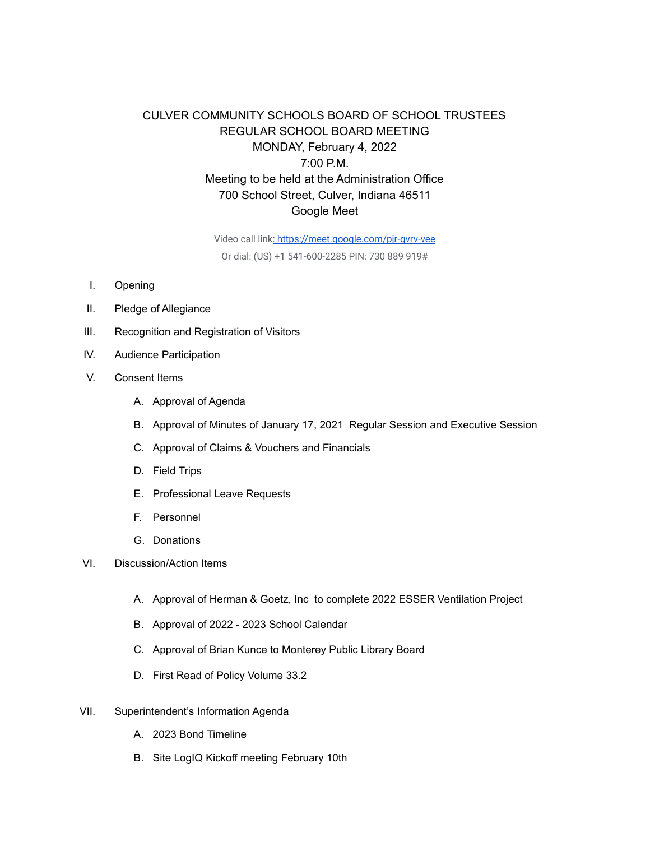# CULVER COMMUNITY SCHOOLS BOARD OF SCHOOL TRUSTEES REGULAR SCHOOL BOARD MEETING MONDAY, February 4, 2022 7:00 P.M. Meeting to be held at the Administration Office 700 School Street, Culver, Indiana 46511 Google Meet

Video call link[: https://meet.google.com/pjr-gvrv-vee](https://meet.google.com/pjr-gvrv-vee)

Or dial: (US) +1 541-600-2285 PIN: 730 889 919#

- I. Opening
- II. Pledge of Allegiance
- III. Recognition and Registration of Visitors
- IV. Audience Participation
- V. Consent Items
	- A. Approval of Agenda
	- B. Approval of Minutes of January 17, 2021 Regular Session and Executive Session
	- C. Approval of Claims & Vouchers and Financials
	- D. Field Trips
	- E. Professional Leave Requests
	- F. Personnel
	- G. Donations
- VI. Discussion/Action Items
	- A. Approval of Herman & Goetz, Inc to complete 2022 ESSER Ventilation Project
	- B. Approval of 2022 2023 School Calendar
	- C. Approval of Brian Kunce to Monterey Public Library Board
	- D. First Read of Policy Volume 33.2
- VII. Superintendent's Information Agenda
	- A. 2023 Bond Timeline
	- B. Site LogIQ Kickoff meeting February 10th